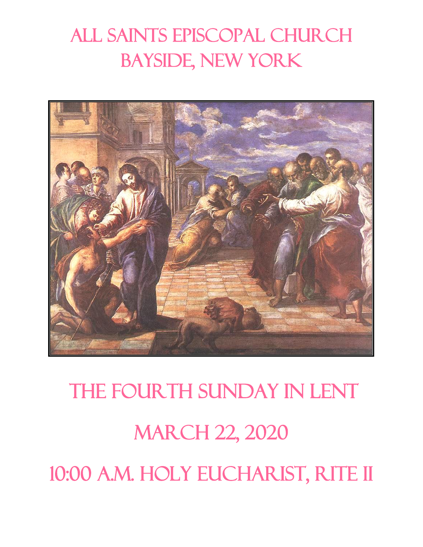# ALL SAINTS EPISCOPAL CHURCH Bayside, New York



# THE FOURTH SUNDAY IN LENT March 22, 2020 10:00 a.m. Holy Eucharist, Rite II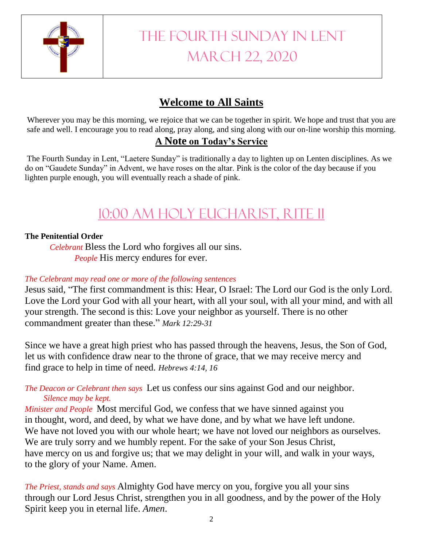

# The Fourth Sunday in Lent March 22, 2020

## **Welcome to All Saints**

Wherever you may be this morning, we rejoice that we can be together in spirit. We hope and trust that you are safe and well. I encourage you to read along, pray along, and sing along with our on-line worship this morning.

#### **A Note on Today's Service**

The Fourth Sunday in Lent, "Laetere Sunday" is traditionally a day to lighten up on Lenten disciplines. As we do on "Gaudete Sunday" in Advent, we have roses on the altar. Pink is the color of the day because if you lighten purple enough, you will eventually reach a shade of pink.

## 10:00 AM Holy Eucharist, Rite II

#### **The Penitential Order**

*Celebrant* Bless the Lord who forgives all our sins. *People* His mercy endures for ever.

#### *The Celebrant may read one or more of the following sentences*

Jesus said, "The first commandment is this: Hear, O Israel: The Lord our God is the only Lord. Love the Lord your God with all your heart, with all your soul, with all your mind, and with all your strength. The second is this: Love your neighbor as yourself. There is no other commandment greater than these." *Mark 12:29-31*

Since we have a great high priest who has passed through the heavens, Jesus, the Son of God, let us with confidence draw near to the throne of grace, that we may receive mercy and find grace to help in time of need. *Hebrews 4:14, 16*

*The Deacon or Celebrant then says* Let us confess our sins against God and our neighbor.  *Silence may be kept.*

*Minister and People* Most merciful God, we confess that we have sinned against you in thought, word, and deed, by what we have done, and by what we have left undone. We have not loved you with our whole heart; we have not loved our neighbors as ourselves. We are truly sorry and we humbly repent. For the sake of your Son Jesus Christ, have mercy on us and forgive us; that we may delight in your will, and walk in your ways, to the glory of your Name. Amen.

*The Priest, stands and says* Almighty God have mercy on you, forgive you all your sins through our Lord Jesus Christ, strengthen you in all goodness, and by the power of the Holy Spirit keep you in eternal life. *Amen*.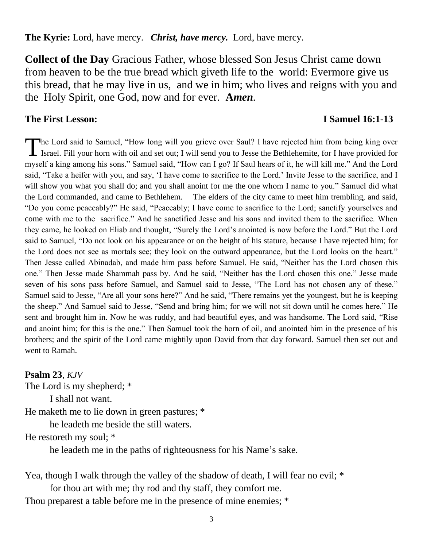**The Kyrie:** Lord, have mercy. *Christ, have mercy.* Lord, have mercy.

**Collect of the Day** Gracious Father, whose blessed Son Jesus Christ came down from heaven to be the true bread which giveth life to the world: Evermore give us this bread, that he may live in us, and we in him; who lives and reigns with you and the Holy Spirit, one God, now and for ever. **A***men.*

#### **The First Lesson: I Samuel 16:1-13**

The Lord said to Samuel, "How long will you grieve over Saul? I have rejected him from being king over Israel. Fill your horn with oil and set out; I will send you to Jesse the Bethlehemite, for I have provided for Israel. Fill your horn with oil and set out; I will send you to Jesse the Bethlehemite, for I have provided for myself a king among his sons." Samuel said, "How can I go? If Saul hears of it, he will kill me." And the Lord said, "Take a heifer with you, and say, 'I have come to sacrifice to the Lord.' Invite Jesse to the sacrifice, and I will show you what you shall do; and you shall anoint for me the one whom I name to you." Samuel did what the Lord commanded, and came to Bethlehem. The elders of the city came to meet him trembling, and said, "Do you come peaceably?" He said, "Peaceably; I have come to sacrifice to the Lord; sanctify yourselves and come with me to the sacrifice." And he sanctified Jesse and his sons and invited them to the sacrifice. When they came, he looked on Eliab and thought, "Surely the Lord's anointed is now before the Lord." But the Lord said to Samuel, "Do not look on his appearance or on the height of his stature, because I have rejected him; for the Lord does not see as mortals see; they look on the outward appearance, but the Lord looks on the heart." Then Jesse called Abinadab, and made him pass before Samuel. He said, "Neither has the Lord chosen this one." Then Jesse made Shammah pass by. And he said, "Neither has the Lord chosen this one." Jesse made seven of his sons pass before Samuel, and Samuel said to Jesse, "The Lord has not chosen any of these." Samuel said to Jesse, "Are all your sons here?" And he said, "There remains yet the youngest, but he is keeping the sheep." And Samuel said to Jesse, "Send and bring him; for we will not sit down until he comes here." He sent and brought him in. Now he was ruddy, and had beautiful eyes, and was handsome. The Lord said, "Rise and anoint him; for this is the one." Then Samuel took the horn of oil, and anointed him in the presence of his brothers; and the spirit of the Lord came mightily upon David from that day forward. Samuel then set out and went to Ramah.

#### **Psalm 23**, *KJV*

The Lord is my shepherd; \*

I shall not want.

He maketh me to lie down in green pastures; \*

he leadeth me beside the still waters.

He restoreth my soul; \*

he leadeth me in the paths of righteousness for his Name's sake.

Yea, though I walk through the valley of the shadow of death, I will fear no evil;  $*$ 

for thou art with me; thy rod and thy staff, they comfort me.

Thou preparest a table before me in the presence of mine enemies; \*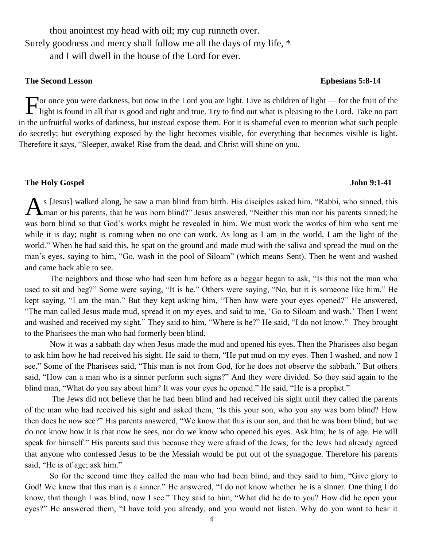thou anointest my head with oil; my cup runneth over. Surely goodness and mercy shall follow me all the days of my life, \*

and I will dwell in the house of the Lord for ever.

#### **The Second Lesson** Ephesians 5:8-14

or once you were darkness, but now in the Lord you are light. Live as children of light — for the fruit of the For once you were darkness, but now in the Lord you are light. Live as children of light — for the fruit of the light is found in all that is good and right and true. Try to find out what is pleasing to the Lord. Take no p in the unfruitful works of darkness, but instead expose them. For it is shameful even to mention what such people do secretly; but everything exposed by the light becomes visible, for everything that becomes visible is light. Therefore it says, "Sleeper, awake! Rise from the dead, and Christ will shine on you.

#### **The Holy Gospel John 9:1-41**

s [Jesus] walked along, he saw a man blind from birth. His disciples asked him, "Rabbi, who sinned, this As [Jesus] walked along, he saw a man blind from birth. His disciples asked him, "Rabbi, who sinned, this man or his parents, that he was born blind?" Jesus answered, "Neither this man nor his parents sinned; he was born blind so that God's works might be revealed in him. We must work the works of him who sent me while it is day; night is coming when no one can work. As long as I am in the world, I am the light of the world." When he had said this, he spat on the ground and made mud with the saliva and spread the mud on the man's eyes, saying to him, "Go, wash in the pool of Siloam" (which means Sent). Then he went and washed and came back able to see.

The neighbors and those who had seen him before as a beggar began to ask, "Is this not the man who used to sit and beg?" Some were saying, "It is he." Others were saying, "No, but it is someone like him." He kept saying, "I am the man." But they kept asking him, "Then how were your eyes opened?" He answered, "The man called Jesus made mud, spread it on my eyes, and said to me, 'Go to Siloam and wash.' Then I went and washed and received my sight." They said to him, "Where is he?" He said, "I do not know." They brought to the Pharisees the man who had formerly been blind.

Now it was a sabbath day when Jesus made the mud and opened his eyes. Then the Pharisees also began to ask him how he had received his sight. He said to them, "He put mud on my eyes. Then I washed, and now I see." Some of the Pharisees said, "This man is not from God, for he does not observe the sabbath." But others said, "How can a man who is a sinner perform such signs?" And they were divided. So they said again to the blind man, "What do you say about him? It was your eyes he opened." He said, "He is a prophet."

The Jews did not believe that he had been blind and had received his sight until they called the parents of the man who had received his sight and asked them, "Is this your son, who you say was born blind? How then does he now see?" His parents answered, "We know that this is our son, and that he was born blind; but we do not know how it is that now he sees, nor do we know who opened his eyes. Ask him; he is of age. He will speak for himself." His parents said this because they were afraid of the Jews; for the Jews had already agreed that anyone who confessed Jesus to be the Messiah would be put out of the synagogue. Therefore his parents said, "He is of age; ask him."

So for the second time they called the man who had been blind, and they said to him, "Give glory to God! We know that this man is a sinner." He answered, "I do not know whether he is a sinner. One thing I do know, that though I was blind, now I see." They said to him, "What did he do to you? How did he open your eyes?" He answered them, "I have told you already, and you would not listen. Why do you want to hear it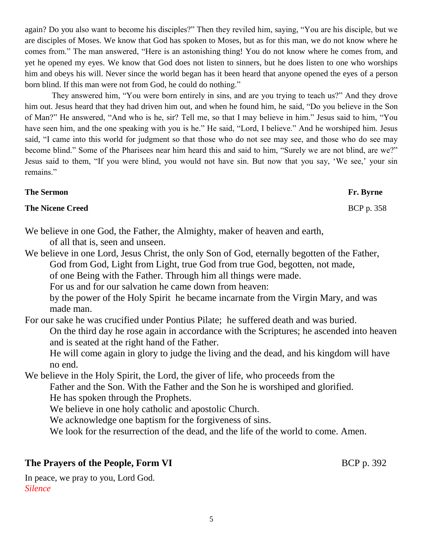again? Do you also want to become his disciples?" Then they reviled him, saying, "You are his disciple, but we are disciples of Moses. We know that God has spoken to Moses, but as for this man, we do not know where he comes from." The man answered, "Here is an astonishing thing! You do not know where he comes from, and yet he opened my eyes. We know that God does not listen to sinners, but he does listen to one who worships him and obeys his will. Never since the world began has it been heard that anyone opened the eyes of a person born blind. If this man were not from God, he could do nothing."

They answered him, "You were born entirely in sins, and are you trying to teach us?" And they drove him out. Jesus heard that they had driven him out, and when he found him, he said, "Do you believe in the Son of Man?" He answered, "And who is he, sir? Tell me, so that I may believe in him." Jesus said to him, "You have seen him, and the one speaking with you is he." He said, "Lord, I believe." And he worshiped him. Jesus said, "I came into this world for judgment so that those who do not see may see, and those who do see may become blind." Some of the Pharisees near him heard this and said to him, "Surely we are not blind, are we?" Jesus said to them, "If you were blind, you would not have sin. But now that you say, 'We see,' your sin remains."

#### **The Sermon** Fr. Byrne

#### **The Nicene Creed** BCP p. 358

- We believe in one God, the Father, the Almighty, maker of heaven and earth, of all that is, seen and unseen.
- We believe in one Lord, Jesus Christ, the only Son of God, eternally begotten of the Father, God from God, Light from Light, true God from true God, begotten, not made,

of one Being with the Father. Through him all things were made.

For us and for our salvation he came down from heaven:

by the power of the Holy Spirit he became incarnate from the Virgin Mary, and was made man.

For our sake he was crucified under Pontius Pilate; he suffered death and was buried. On the third day he rose again in accordance with the Scriptures; he ascended into heaven and is seated at the right hand of the Father.

He will come again in glory to judge the living and the dead, and his kingdom will have no end.

We believe in the Holy Spirit, the Lord, the giver of life, who proceeds from the

Father and the Son. With the Father and the Son he is worshiped and glorified.

He has spoken through the Prophets.

We believe in one holy catholic and apostolic Church.

We acknowledge one baptism for the forgiveness of sins.

We look for the resurrection of the dead, and the life of the world to come. Amen.

### **The Prayers of the People, Form VI BCP** p. 392

In peace, we pray to you, Lord God. *Silence*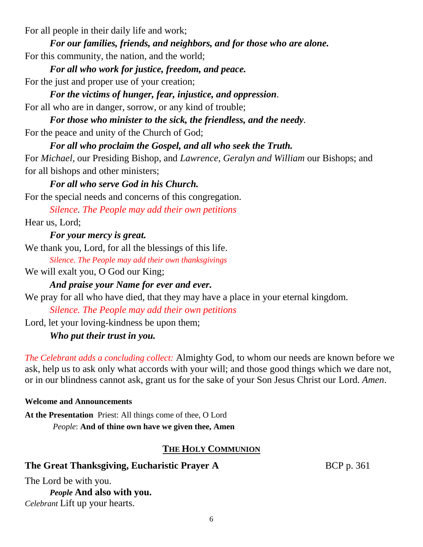For all people in their daily life and work;

*For our families, friends, and neighbors, and for those who are alone.* For this community, the nation, and the world;

*For all who work for justice, freedom, and peace.* For the just and proper use of your creation;

*For the victims of hunger, fear, injustice, and oppression.*

For all who are in danger, sorrow, or any kind of trouble;

*For those who minister to the sick, the friendless, and the needy.* For the peace and unity of the Church of God;

*For all who proclaim the Gospel, and all who seek the Truth.* For *Michael,* our Presiding Bishop, and *Lawrence, Geralyn and William* our Bishops; and

for all bishops and other ministers;

#### *For all who serve God in his Church.*

For the special needs and concerns of this congregation.

*Silence. The People may add their own petitions*

Hear us, Lord;

#### *For your mercy is great.*

We thank you, Lord, for all the blessings of this life.

*Silence. The People may add their own thanksgivings*

We will exalt you, O God our King;

#### *And praise your Name for ever and ever.*

We pray for all who have died, that they may have a place in your eternal kingdom.

*Silence. The People may add their own petitions*

Lord, let your loving-kindness be upon them;

#### *Who put their trust in you.*

*The Celebrant adds a concluding collect:* Almighty God, to whom our needs are known before we ask, help us to ask only what accords with your will; and those good things which we dare not, or in our blindness cannot ask, grant us for the sake of your Son Jesus Christ our Lord. *Amen*.

#### **Welcome and Announcements**

**At the Presentation** Priest: All things come of thee, O Lord *People*: **And of thine own have we given thee, Amen**

#### **THE HOLY COMMUNION**

#### **The Great Thanksgiving, Eucharistic Prayer A** BCP p. 361

The Lord be with you. *People* **And also with you.** *Celebrant* Lift up your hearts.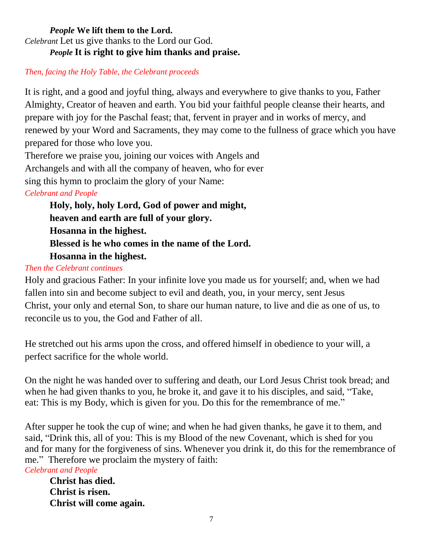#### *People* **We lift them to the Lord.** *Celebrant* Let us give thanks to the Lord our God. *People* **It is right to give him thanks and praise.**

#### *Then, facing the Holy Table, the Celebrant proceeds*

It is right, and a good and joyful thing, always and everywhere to give thanks to you, Father Almighty, Creator of heaven and earth. You bid your faithful people cleanse their hearts, and prepare with joy for the Paschal feast; that, fervent in prayer and in works of mercy, and renewed by your Word and Sacraments, they may come to the fullness of grace which you have prepared for those who love you.

Therefore we praise you, joining our voices with Angels and Archangels and with all the company of heaven, who for ever sing this hymn to proclaim the glory of your Name: *Celebrant and People*

> **Holy, holy, holy Lord, God of power and might, heaven and earth are full of your glory. Hosanna in the highest. Blessed is he who comes in the name of the Lord.**

#### **Hosanna in the highest.**

#### *Then the Celebrant continues*

Holy and gracious Father: In your infinite love you made us for yourself; and, when we had fallen into sin and become subject to evil and death, you, in your mercy, sent Jesus Christ, your only and eternal Son, to share our human nature, to live and die as one of us, to reconcile us to you, the God and Father of all.

He stretched out his arms upon the cross, and offered himself in obedience to your will, a perfect sacrifice for the whole world.

On the night he was handed over to suffering and death, our Lord Jesus Christ took bread; and when he had given thanks to you, he broke it, and gave it to his disciples, and said, "Take, eat: This is my Body, which is given for you. Do this for the remembrance of me."

After supper he took the cup of wine; and when he had given thanks, he gave it to them, and said, "Drink this, all of you: This is my Blood of the new Covenant, which is shed for you and for many for the forgiveness of sins. Whenever you drink it, do this for the remembrance of me." Therefore we proclaim the mystery of faith:

*Celebrant and People*

**Christ has died. Christ is risen. Christ will come again.**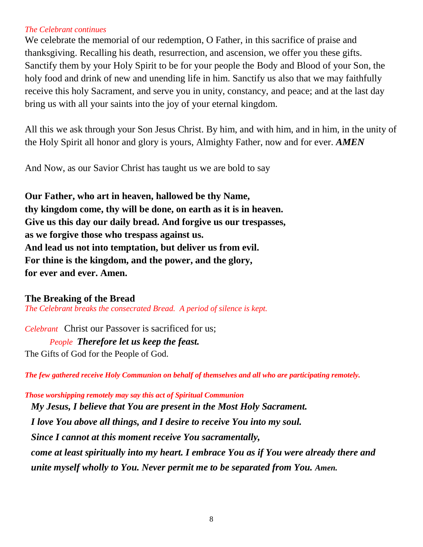#### *The Celebrant continues*

We celebrate the memorial of our redemption, O Father, in this sacrifice of praise and thanksgiving. Recalling his death, resurrection, and ascension, we offer you these gifts. Sanctify them by your Holy Spirit to be for your people the Body and Blood of your Son, the holy food and drink of new and unending life in him. Sanctify us also that we may faithfully receive this holy Sacrament, and serve you in unity, constancy, and peace; and at the last day bring us with all your saints into the joy of your eternal kingdom.

All this we ask through your Son Jesus Christ. By him, and with him, and in him, in the unity of the Holy Spirit all honor and glory is yours, Almighty Father, now and for ever. *AMEN*

And Now, as our Savior Christ has taught us we are bold to say

**Our Father, who art in heaven, hallowed be thy Name, thy kingdom come, thy will be done, on earth as it is in heaven. Give us this day our daily bread. And forgive us our trespasses, as we forgive those who trespass against us. And lead us not into temptation, but deliver us from evil. For thine is the kingdom, and the power, and the glory, for ever and ever. Amen.**

#### **The Breaking of the Bread**

*The Celebrant breaks the consecrated Bread. A period of silence is kept.*

*Celebrant* Christ our Passover is sacrificed for us; *People Therefore let us keep the feast.* The Gifts of God for the People of God.

*The few gathered receive Holy Communion on behalf of themselves and all who are participating remotely.*

*Those worshipping remotely may say this act of Spiritual Communion* 

*My Jesus, I believe that You are present in the Most Holy Sacrament. I love You above all things, and I desire to receive You into my soul. Since I cannot at this moment receive You sacramentally, come at least spiritually into my heart. I embrace You as if You were already there and unite myself wholly to You. Never permit me to be separated from You. Amen.*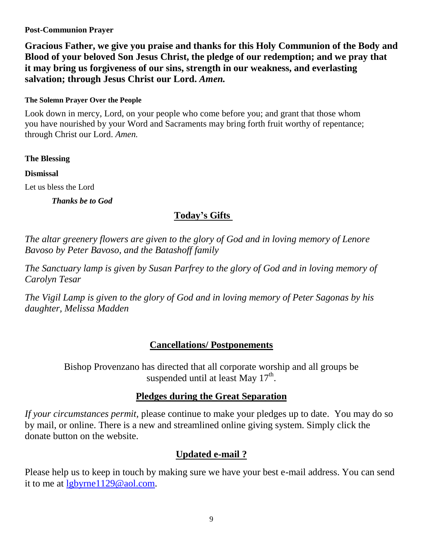#### **Post-Communion Prayer**

**Gracious Father, we give you praise and thanks for this Holy Communion of the Body and Blood of your beloved Son Jesus Christ, the pledge of our redemption; and we pray that it may bring us forgiveness of our sins, strength in our weakness, and everlasting salvation; through Jesus Christ our Lord.** *Amen.*

#### **The Solemn Prayer Over the People**

Look down in mercy, Lord, on your people who come before you; and grant that those whom you have nourished by your Word and Sacraments may bring forth fruit worthy of repentance; through Christ our Lord. *Amen.*

**The Blessing**

**Dismissal** 

Let us bless the Lord

*Thanks be to God*

#### **Today's Gifts**

*The altar greenery flowers are given to the glory of God and in loving memory of Lenore Bavoso by Peter Bavoso, and the Batashoff family*

*The Sanctuary lamp is given by Susan Parfrey to the glory of God and in loving memory of Carolyn Tesar*

*The Vigil Lamp is given to the glory of God and in loving memory of Peter Sagonas by his daughter, Melissa Madden*

#### **Cancellations/ Postponements**

Bishop Provenzano has directed that all corporate worship and all groups be suspended until at least May  $17<sup>th</sup>$ .

#### **Pledges during the Great Separation**

*If your circumstances permit,* please continue to make your pledges up to date. You may do so by mail, or online. There is a new and streamlined online giving system. Simply click the donate button on the website.

#### **Updated e-mail ?**

Please help us to keep in touch by making sure we have your best e-mail address. You can send it to me at [lgbyrne1129@aol.com.](mailto:lgbyrne1129@aol.com)